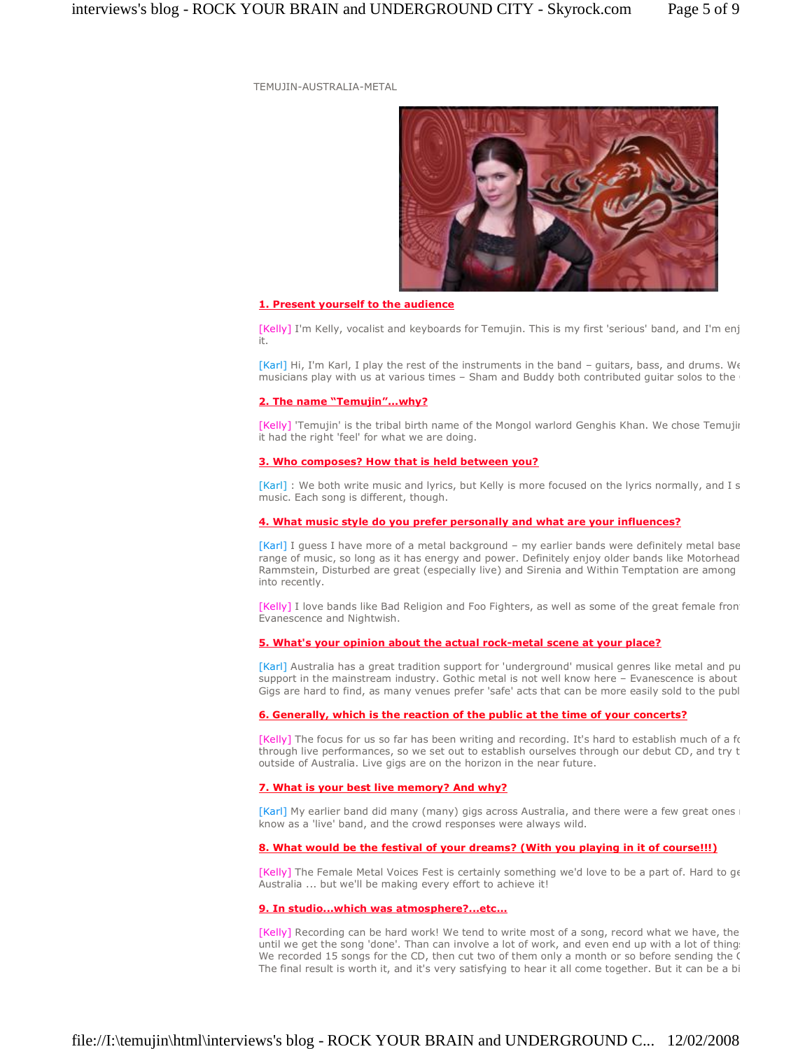TEMUJIN-AUSTRALIA-METAL



# **1. Present yourself to the audience**

[Kelly] I'm Kelly, vocalist and keyboards for Temujin. This is my first 'serious' band, and I'm enj it.

[Karl] Hi, I'm Karl, I play the rest of the instruments in the band - guitars, bass, and drums. We musicians play with us at various times - Sham and Buddy both contributed guitar solos to the

## **2.** The name "Temujin"...why?

[Kelly] 'Temujin' is the tribal birth name of the Mongol warlord Genghis Khan. We chose Temujir it had the right 'feel' for what we are doing.

### **3. Who composes? How that is held between you?**

[Karl] : We both write music and lyrics, but Kelly is more focused on the lyrics normally, and I s music. Each song is different, though.

# **4. What music style do you prefer personally and what are your influences?**

[Karl] I guess I have more of a metal background - my earlier bands were definitely metal base range of music, so long as it has energy and power. Definitely enjoy older bands like Motorhead Rammstein, Disturbed are great (especially live) and Sirenia and Within Temptation are among into recently.

[Kelly] I love bands like Bad Religion and Foo Fighters, as well as some of the great female front Evanescence and Nightwish.

### **5. What's your opinion about the actual rock-metal scene at your place?**

[Karl] Australia has a great tradition support for 'underground' musical genres like metal and pu support in the mainstream industry. Gothic metal is not well know here - Evanescence is about Gigs are hard to find, as many venues prefer 'safe' acts that can be more easily sold to the publ

## **6. Generally, which is the reaction of the public at the time of your concerts?**

[Kelly] The focus for us so far has been writing and recording. It's hard to establish much of a fo through live performances, so we set out to establish ourselves through our debut CD, and try t outside of Australia. Live gigs are on the horizon in the near future.

# **7. What is your best live memory? And why?**

[Karl] My earlier band did many (many) gigs across Australia, and there were a few great ones know as a 'live' band, and the crowd responses were always wild.

## **8. What would be the festival of your dreams? (With you playing in it of course!!!)**

[Kelly] The Female Metal Voices Fest is certainly something we'd love to be a part of. Hard to get Australia ... but we'll be making every effort to achieve it!

# **9. In studio...which was atmosphere?...etc...**

[Kelly] Recording can be hard work! We tend to write most of a song, record what we have, the until we get the song 'done'. Than can involve a lot of work, and even end up with a lot of thing: We recorded 15 songs for the CD, then cut two of them only a month or so before sending the C The final result is worth it, and it's very satisfying to hear it all come together. But it can be a bi